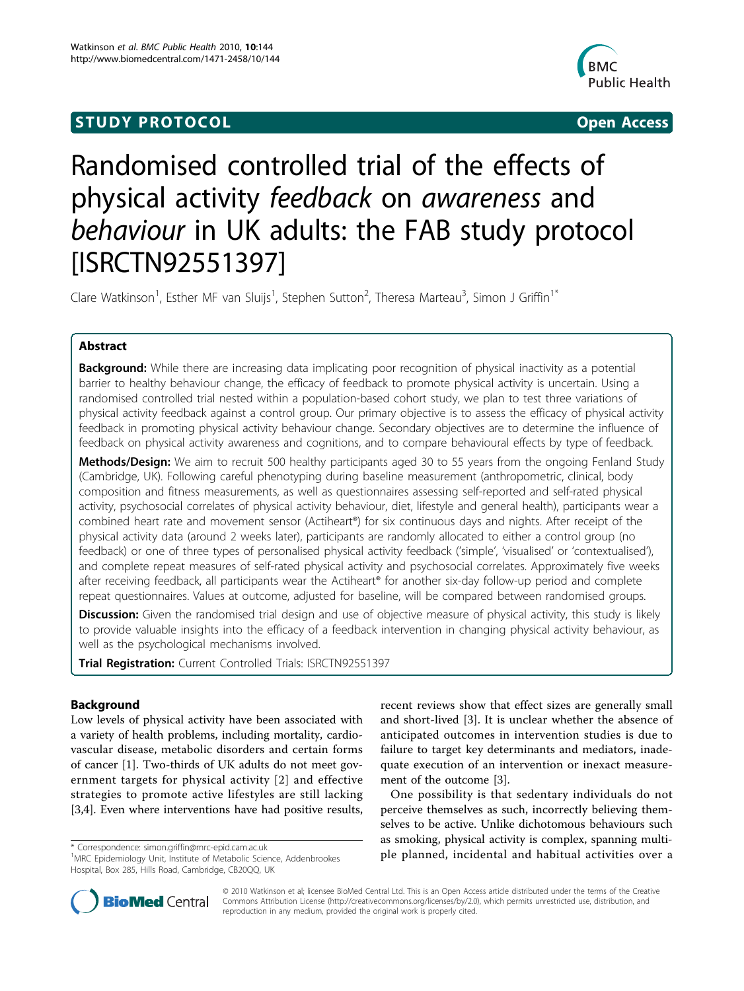## **STUDY PROTOCOL** CONTROL CONTROL CONTROL CONTROL CONTROL CONTROL CONTROL CONTROL CONTROL CONTROL CONTROL CONTROL CONTROL CONTROL CONTROL CONTROL CONTROL CONTROL CONTROL CONTROL CONTROL CONTROL CONTROL CONTROL CONTROL CONTR



# Randomised controlled trial of the effects of physical activity feedback on awareness and behaviour in UK adults: the FAB study protocol [ISRCTN92551397]

Clare Watkinson<sup>1</sup>, Esther MF van Sluijs<sup>1</sup>, Stephen Sutton<sup>2</sup>, Theresa Marteau<sup>3</sup>, Simon J Griffin<sup>1\*</sup>

## Abstract

**Background:** While there are increasing data implicating poor recognition of physical inactivity as a potential barrier to healthy behaviour change, the efficacy of feedback to promote physical activity is uncertain. Using a randomised controlled trial nested within a population-based cohort study, we plan to test three variations of physical activity feedback against a control group. Our primary objective is to assess the efficacy of physical activity feedback in promoting physical activity behaviour change. Secondary objectives are to determine the influence of feedback on physical activity awareness and cognitions, and to compare behavioural effects by type of feedback.

**Methods/Design:** We aim to recruit 500 healthy participants aged 30 to 55 years from the ongoing Fenland Study (Cambridge, UK). Following careful phenotyping during baseline measurement (anthropometric, clinical, body composition and fitness measurements, as well as questionnaires assessing self-reported and self-rated physical activity, psychosocial correlates of physical activity behaviour, diet, lifestyle and general health), participants wear a combined heart rate and movement sensor (Actiheart®) for six continuous days and nights. After receipt of the physical activity data (around 2 weeks later), participants are randomly allocated to either a control group (no feedback) or one of three types of personalised physical activity feedback ('simple', 'visualised' or 'contextualised'), and complete repeat measures of self-rated physical activity and psychosocial correlates. Approximately five weeks after receiving feedback, all participants wear the Actiheart® for another six-day follow-up period and complete repeat questionnaires. Values at outcome, adjusted for baseline, will be compared between randomised groups.

Discussion: Given the randomised trial design and use of objective measure of physical activity, this study is likely to provide valuable insights into the efficacy of a feedback intervention in changing physical activity behaviour, as well as the psychological mechanisms involved.

Trial Registration: Current Controlled Trials: ISRCTN92551397

## Background

Low levels of physical activity have been associated with a variety of health problems, including mortality, cardiovascular disease, metabolic disorders and certain forms of cancer [[1\]](#page-8-0). Two-thirds of UK adults do not meet government targets for physical activity [[2](#page-8-0)] and effective strategies to promote active lifestyles are still lacking [[3,4\]](#page-8-0). Even where interventions have had positive results,

recent reviews show that effect sizes are generally small and short-lived [\[3](#page-8-0)]. It is unclear whether the absence of anticipated outcomes in intervention studies is due to failure to target key determinants and mediators, inadequate execution of an intervention or inexact measurement of the outcome [\[3](#page-8-0)].

One possibility is that sedentary individuals do not perceive themselves as such, incorrectly believing themselves to be active. Unlike dichotomous behaviours such as smoking, physical activity is complex, spanning multi\* Correspondence: [simon.griffin@mrc-epid.cam.ac.uk](mailto:simon.griffin@mrc-epid.cam.ac.uk)<br><sup>1</sup>MRC Epidemiology Unit Institute of Metabolic Science, Addenbrookes **ple planned, incidental and habitual activities over a** 



© 2010 Watkinson et al; licensee BioMed Central Ltd. This is an Open Access article distributed under the terms of the Creative Commons Attribution License [\(http://creativecommons.org/licenses/by/2.0](http://creativecommons.org/licenses/by/2.0)), which permits unrestricted use, distribution, and reproduction in any medium, provided the original work is properly cited.

<sup>&</sup>lt;sup>1</sup>MRC Epidemiology Unit, Institute of Metabolic Science, Addenbrookes Hospital, Box 285, Hills Road, Cambridge, CB20QQ, UK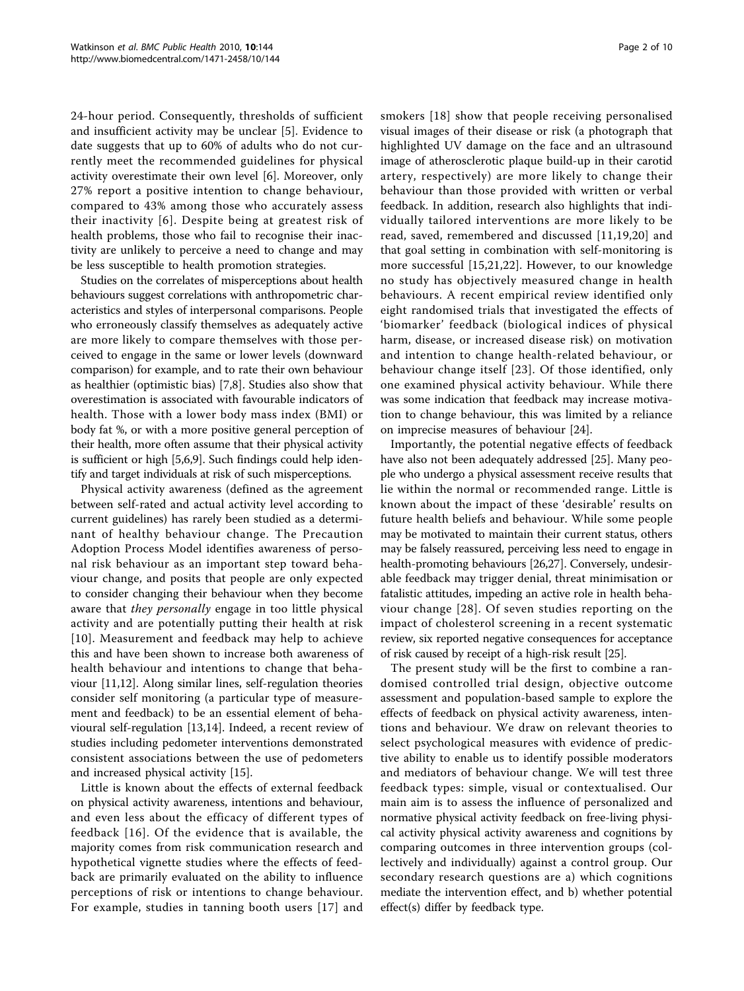24-hour period. Consequently, thresholds of sufficient and insufficient activity may be unclear [\[5](#page-8-0)]. Evidence to date suggests that up to 60% of adults who do not currently meet the recommended guidelines for physical activity overestimate their own level [[6](#page-8-0)]. Moreover, only 27% report a positive intention to change behaviour, compared to 43% among those who accurately assess their inactivity [[6\]](#page-8-0). Despite being at greatest risk of health problems, those who fail to recognise their inactivity are unlikely to perceive a need to change and may be less susceptible to health promotion strategies.

Studies on the correlates of misperceptions about health behaviours suggest correlations with anthropometric characteristics and styles of interpersonal comparisons. People who erroneously classify themselves as adequately active are more likely to compare themselves with those perceived to engage in the same or lower levels (downward comparison) for example, and to rate their own behaviour as healthier (optimistic bias) [[7,8\]](#page-8-0). Studies also show that overestimation is associated with favourable indicators of health. Those with a lower body mass index (BMI) or body fat %, or with a more positive general perception of their health, more often assume that their physical activity is sufficient or high [\[5,6,9](#page-8-0)]. Such findings could help identify and target individuals at risk of such misperceptions.

Physical activity awareness (defined as the agreement between self-rated and actual activity level according to current guidelines) has rarely been studied as a determinant of healthy behaviour change. The Precaution Adoption Process Model identifies awareness of personal risk behaviour as an important step toward behaviour change, and posits that people are only expected to consider changing their behaviour when they become aware that *they personally* engage in too little physical activity and are potentially putting their health at risk [[10](#page-8-0)]. Measurement and feedback may help to achieve this and have been shown to increase both awareness of health behaviour and intentions to change that behaviour [\[11,12\]](#page-8-0). Along similar lines, self-regulation theories consider self monitoring (a particular type of measurement and feedback) to be an essential element of behavioural self-regulation [[13,14\]](#page-8-0). Indeed, a recent review of studies including pedometer interventions demonstrated consistent associations between the use of pedometers and increased physical activity [\[15](#page-8-0)].

Little is known about the effects of external feedback on physical activity awareness, intentions and behaviour, and even less about the efficacy of different types of feedback [[16\]](#page-8-0). Of the evidence that is available, the majority comes from risk communication research and hypothetical vignette studies where the effects of feedback are primarily evaluated on the ability to influence perceptions of risk or intentions to change behaviour. For example, studies in tanning booth users [[17\]](#page-8-0) and smokers [\[18\]](#page-8-0) show that people receiving personalised visual images of their disease or risk (a photograph that highlighted UV damage on the face and an ultrasound image of atherosclerotic plaque build-up in their carotid artery, respectively) are more likely to change their behaviour than those provided with written or verbal feedback. In addition, research also highlights that individually tailored interventions are more likely to be read, saved, remembered and discussed [[11](#page-8-0),[19,20](#page-8-0)] and that goal setting in combination with self-monitoring is more successful [\[15,21](#page-8-0),[22\]](#page-8-0). However, to our knowledge no study has objectively measured change in health behaviours. A recent empirical review identified only eight randomised trials that investigated the effects of 'biomarker' feedback (biological indices of physical harm, disease, or increased disease risk) on motivation and intention to change health-related behaviour, or behaviour change itself [[23\]](#page-8-0). Of those identified, only one examined physical activity behaviour. While there was some indication that feedback may increase motivation to change behaviour, this was limited by a reliance on imprecise measures of behaviour [\[24](#page-8-0)].

Importantly, the potential negative effects of feedback have also not been adequately addressed [\[25\]](#page-9-0). Many people who undergo a physical assessment receive results that lie within the normal or recommended range. Little is known about the impact of these 'desirable' results on future health beliefs and behaviour. While some people may be motivated to maintain their current status, others may be falsely reassured, perceiving less need to engage in health-promoting behaviours [\[26,27](#page-9-0)]. Conversely, undesirable feedback may trigger denial, threat minimisation or fatalistic attitudes, impeding an active role in health behaviour change [[28\]](#page-9-0). Of seven studies reporting on the impact of cholesterol screening in a recent systematic review, six reported negative consequences for acceptance of risk caused by receipt of a high-risk result [\[25\]](#page-9-0).

The present study will be the first to combine a randomised controlled trial design, objective outcome assessment and population-based sample to explore the effects of feedback on physical activity awareness, intentions and behaviour. We draw on relevant theories to select psychological measures with evidence of predictive ability to enable us to identify possible moderators and mediators of behaviour change. We will test three feedback types: simple, visual or contextualised. Our main aim is to assess the influence of personalized and normative physical activity feedback on free-living physical activity physical activity awareness and cognitions by comparing outcomes in three intervention groups (collectively and individually) against a control group. Our secondary research questions are a) which cognitions mediate the intervention effect, and b) whether potential effect(s) differ by feedback type.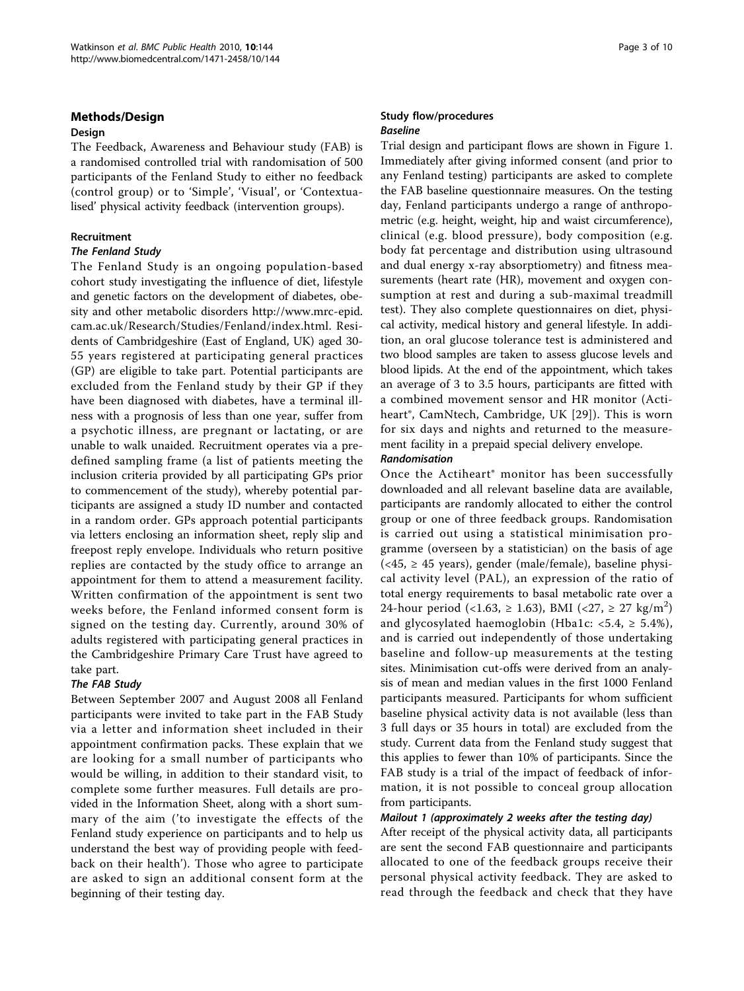## Methods/Design

## **Design**

The Feedback, Awareness and Behaviour study (FAB) is a randomised controlled trial with randomisation of 500 participants of the Fenland Study to either no feedback (control group) or to 'Simple', 'Visual', or 'Contextualised' physical activity feedback (intervention groups).

## Recruitment

## The Fenland Study

The Fenland Study is an ongoing population-based cohort study investigating the influence of diet, lifestyle and genetic factors on the development of diabetes, obesity and other metabolic disorders [http://www.mrc-epid.](http://www.mrc-epid.cam.ac.uk/Research/Studies/Fenland/index.html) [cam.ac.uk/Research/Studies/Fenland/index.html](http://www.mrc-epid.cam.ac.uk/Research/Studies/Fenland/index.html). Residents of Cambridgeshire (East of England, UK) aged 30- 55 years registered at participating general practices (GP) are eligible to take part. Potential participants are excluded from the Fenland study by their GP if they have been diagnosed with diabetes, have a terminal illness with a prognosis of less than one year, suffer from a psychotic illness, are pregnant or lactating, or are unable to walk unaided. Recruitment operates via a predefined sampling frame (a list of patients meeting the inclusion criteria provided by all participating GPs prior to commencement of the study), whereby potential participants are assigned a study ID number and contacted in a random order. GPs approach potential participants via letters enclosing an information sheet, reply slip and freepost reply envelope. Individuals who return positive replies are contacted by the study office to arrange an appointment for them to attend a measurement facility. Written confirmation of the appointment is sent two weeks before, the Fenland informed consent form is signed on the testing day. Currently, around 30% of adults registered with participating general practices in the Cambridgeshire Primary Care Trust have agreed to take part.

## The FAB Study

Between September 2007 and August 2008 all Fenland participants were invited to take part in the FAB Study via a letter and information sheet included in their appointment confirmation packs. These explain that we are looking for a small number of participants who would be willing, in addition to their standard visit, to complete some further measures. Full details are provided in the Information Sheet, along with a short summary of the aim ('to investigate the effects of the Fenland study experience on participants and to help us understand the best way of providing people with feedback on their health'). Those who agree to participate are asked to sign an additional consent form at the beginning of their testing day.

## Study flow/procedures Baseline

Trial design and participant flows are shown in Figure [1](#page-3-0). Immediately after giving informed consent (and prior to any Fenland testing) participants are asked to complete the FAB baseline questionnaire measures. On the testing day, Fenland participants undergo a range of anthropometric (e.g. height, weight, hip and waist circumference), clinical (e.g. blood pressure), body composition (e.g. body fat percentage and distribution using ultrasound and dual energy x-ray absorptiometry) and fitness measurements (heart rate (HR), movement and oxygen consumption at rest and during a sub-maximal treadmill test). They also complete questionnaires on diet, physical activity, medical history and general lifestyle. In addition, an oral glucose tolerance test is administered and two blood samples are taken to assess glucose levels and blood lipids. At the end of the appointment, which takes an average of 3 to 3.5 hours, participants are fitted with a combined movement sensor and HR monitor (Acti-heart®, CamNtech, Cambridge, UK [[29](#page-9-0)]). This is worn for six days and nights and returned to the measurement facility in a prepaid special delivery envelope.

## Randomisation

Once the Actiheart® monitor has been successfully downloaded and all relevant baseline data are available, participants are randomly allocated to either the control group or one of three feedback groups. Randomisation is carried out using a statistical minimisation programme (overseen by a statistician) on the basis of age  $(<$ 45,  $\ge$  45 years), gender (male/female), baseline physical activity level (PAL), an expression of the ratio of total energy requirements to basal metabolic rate over a 24-hour period (<1.63,  $\geq$  1.63), BMI (<27,  $\geq$  27 kg/m<sup>2</sup>) and glycosylated haemoglobin (Hba1c:  $\langle 5.4, \geq 5.4\% \rangle$ , and is carried out independently of those undertaking baseline and follow-up measurements at the testing sites. Minimisation cut-offs were derived from an analysis of mean and median values in the first 1000 Fenland participants measured. Participants for whom sufficient baseline physical activity data is not available (less than 3 full days or 35 hours in total) are excluded from the study. Current data from the Fenland study suggest that this applies to fewer than 10% of participants. Since the FAB study is a trial of the impact of feedback of information, it is not possible to conceal group allocation from participants.

## Mailout 1 (approximately 2 weeks after the testing day)

After receipt of the physical activity data, all participants are sent the second FAB questionnaire and participants allocated to one of the feedback groups receive their personal physical activity feedback. They are asked to read through the feedback and check that they have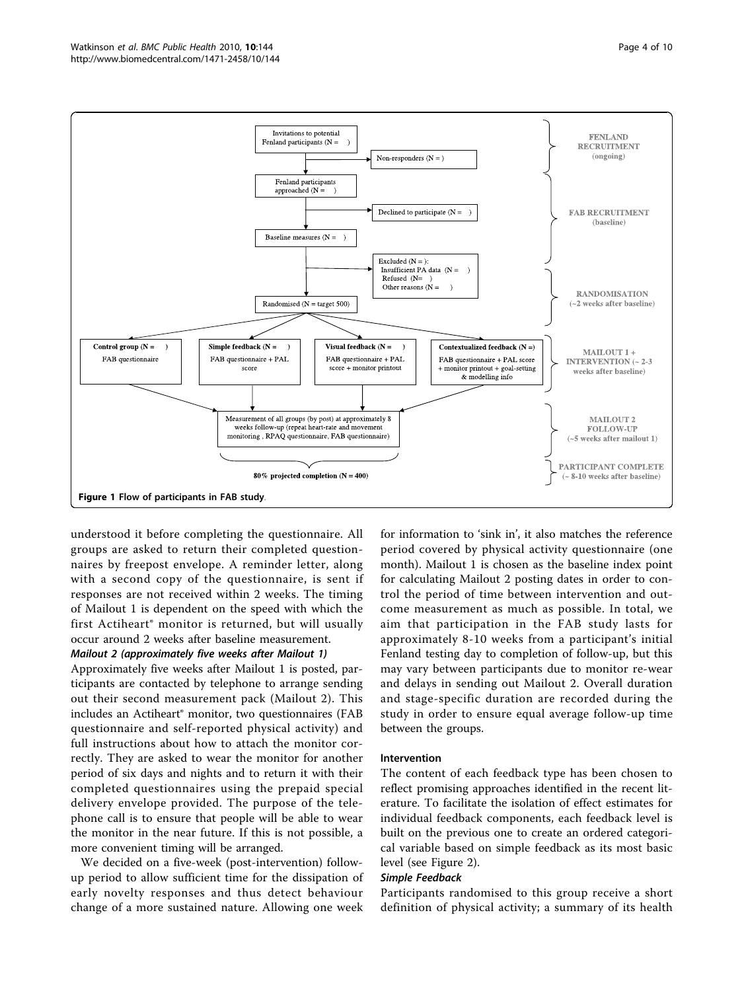<span id="page-3-0"></span>

understood it before completing the questionnaire. All groups are asked to return their completed questionnaires by freepost envelope. A reminder letter, along with a second copy of the questionnaire, is sent if responses are not received within 2 weeks. The timing of Mailout 1 is dependent on the speed with which the first Actiheart® monitor is returned, but will usually occur around 2 weeks after baseline measurement.

### Mailout 2 (approximately five weeks after Mailout 1)

Approximately five weeks after Mailout 1 is posted, participants are contacted by telephone to arrange sending out their second measurement pack (Mailout 2). This includes an Actiheart® monitor, two questionnaires (FAB questionnaire and self-reported physical activity) and full instructions about how to attach the monitor correctly. They are asked to wear the monitor for another period of six days and nights and to return it with their completed questionnaires using the prepaid special delivery envelope provided. The purpose of the telephone call is to ensure that people will be able to wear the monitor in the near future. If this is not possible, a more convenient timing will be arranged.

We decided on a five-week (post-intervention) followup period to allow sufficient time for the dissipation of early novelty responses and thus detect behaviour change of a more sustained nature. Allowing one week

for information to 'sink in', it also matches the reference period covered by physical activity questionnaire (one month). Mailout 1 is chosen as the baseline index point for calculating Mailout 2 posting dates in order to control the period of time between intervention and outcome measurement as much as possible. In total, we aim that participation in the FAB study lasts for approximately 8-10 weeks from a participant's initial Fenland testing day to completion of follow-up, but this may vary between participants due to monitor re-wear and delays in sending out Mailout 2. Overall duration and stage-specific duration are recorded during the study in order to ensure equal average follow-up time between the groups.

#### Intervention

The content of each feedback type has been chosen to reflect promising approaches identified in the recent literature. To facilitate the isolation of effect estimates for individual feedback components, each feedback level is built on the previous one to create an ordered categorical variable based on simple feedback as its most basic level (see Figure [2\)](#page-4-0).

#### Simple Feedback

Participants randomised to this group receive a short definition of physical activity; a summary of its health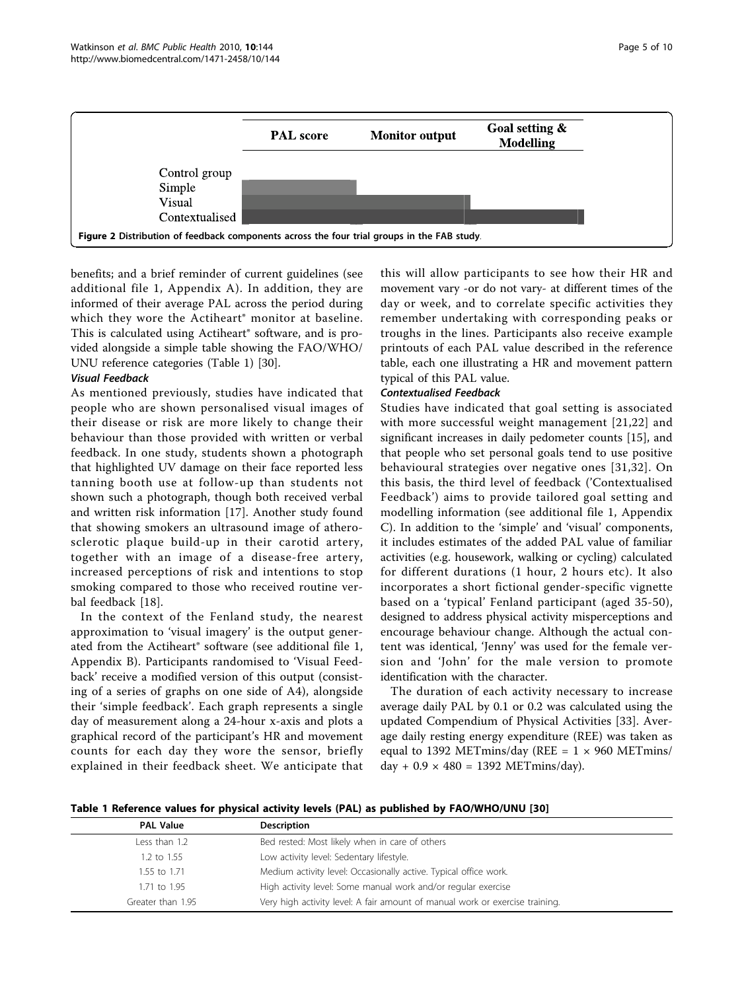<span id="page-4-0"></span>

benefits; and a brief reminder of current guidelines (see additional file [1](#page-8-0), Appendix A). In addition, they are informed of their average PAL across the period during which they wore the Actiheart® monitor at baseline. This is calculated using Actiheart® software, and is provided alongside a simple table showing the FAO/WHO/ UNU reference categories (Table 1) [[30](#page-9-0)].

## Visual Feedback

As mentioned previously, studies have indicated that people who are shown personalised visual images of their disease or risk are more likely to change their behaviour than those provided with written or verbal feedback. In one study, students shown a photograph that highlighted UV damage on their face reported less tanning booth use at follow-up than students not shown such a photograph, though both received verbal and written risk information [[17\]](#page-8-0). Another study found that showing smokers an ultrasound image of atherosclerotic plaque build-up in their carotid artery, together with an image of a disease-free artery, increased perceptions of risk and intentions to stop smoking compared to those who received routine verbal feedback [\[18](#page-8-0)].

In the context of the Fenland study, the nearest approximation to 'visual imagery' is the output generated from the Actiheart® software (see additional file [1](#page-8-0), Appendix B). Participants randomised to 'Visual Feedback' receive a modified version of this output (consisting of a series of graphs on one side of A4), alongside their 'simple feedback'. Each graph represents a single day of measurement along a 24-hour x-axis and plots a graphical record of the participant's HR and movement counts for each day they wore the sensor, briefly explained in their feedback sheet. We anticipate that this will allow participants to see how their HR and movement vary -or do not vary- at different times of the day or week, and to correlate specific activities they remember undertaking with corresponding peaks or troughs in the lines. Participants also receive example printouts of each PAL value described in the reference table, each one illustrating a HR and movement pattern typical of this PAL value.

#### Contextualised Feedback

Studies have indicated that goal setting is associated with more successful weight management [[21](#page-8-0),[22](#page-8-0)] and significant increases in daily pedometer counts [[15\]](#page-8-0), and that people who set personal goals tend to use positive behavioural strategies over negative ones [\[31,32\]](#page-9-0). On this basis, the third level of feedback ('Contextualised Feedback') aims to provide tailored goal setting and modelling information (see additional file [1,](#page-8-0) Appendix C). In addition to the 'simple' and 'visual' components, it includes estimates of the added PAL value of familiar activities (e.g. housework, walking or cycling) calculated for different durations (1 hour, 2 hours etc). It also incorporates a short fictional gender-specific vignette based on a 'typical' Fenland participant (aged 35-50), designed to address physical activity misperceptions and encourage behaviour change. Although the actual content was identical, 'Jenny' was used for the female version and 'John' for the male version to promote identification with the character.

The duration of each activity necessary to increase average daily PAL by 0.1 or 0.2 was calculated using the updated Compendium of Physical Activities [\[33](#page-9-0)]. Average daily resting energy expenditure (REE) was taken as equal to 1392 METmins/day (REE =  $1 \times 960$  METmins/ day +  $0.9 \times 480 = 1392$  METmins/day).

Table 1 Reference values for physical activity levels (PAL) as published by FAO/WHO/UNU [[30\]](#page-9-0)

| <b>PAL Value</b>  | <b>Description</b>                                                           |
|-------------------|------------------------------------------------------------------------------|
| Less than 1.2     | Bed rested: Most likely when in care of others                               |
| 1.2 to 1.55       | Low activity level: Sedentary lifestyle.                                     |
| 1.55 to 1.71      | Medium activity level: Occasionally active. Typical office work.             |
| 1.71 to 1.95      | High activity level: Some manual work and/or regular exercise                |
| Greater than 1.95 | Very high activity level: A fair amount of manual work or exercise training. |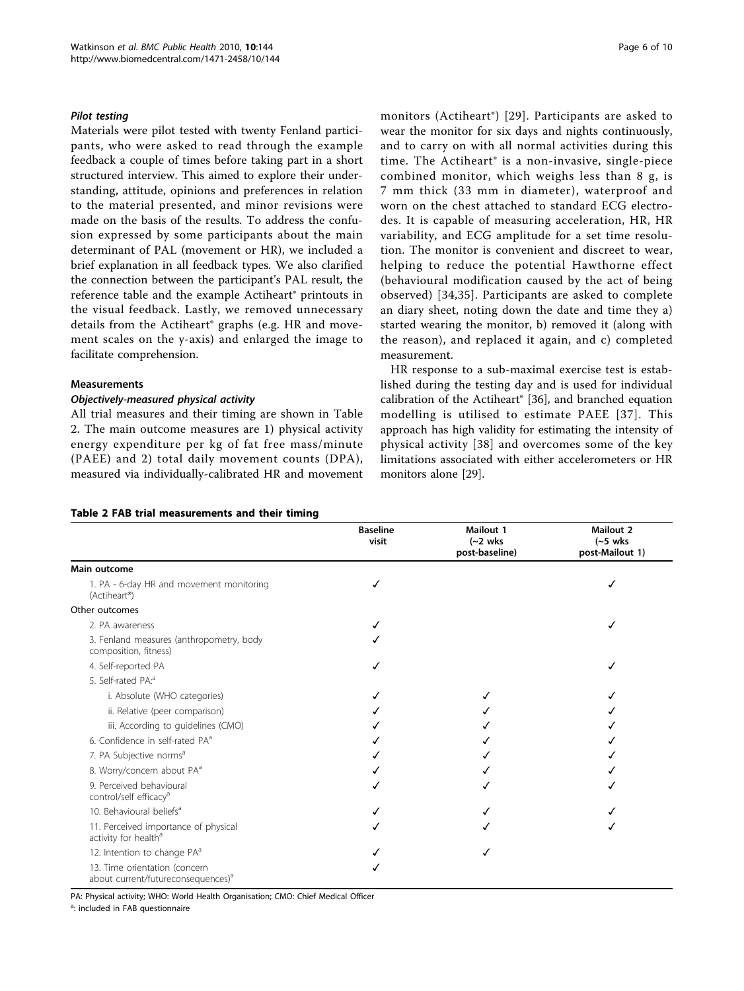#### Pilot testing

Materials were pilot tested with twenty Fenland participants, who were asked to read through the example feedback a couple of times before taking part in a short structured interview. This aimed to explore their understanding, attitude, opinions and preferences in relation to the material presented, and minor revisions were made on the basis of the results. To address the confusion expressed by some participants about the main determinant of PAL (movement or HR), we included a brief explanation in all feedback types. We also clarified the connection between the participant's PAL result, the reference table and the example Actiheart® printouts in the visual feedback. Lastly, we removed unnecessary details from the Actiheart® graphs (e.g. HR and movement scales on the y-axis) and enlarged the image to facilitate comprehension.

### Measurements

#### Objectively-measured physical activity

All trial measures and their timing are shown in Table 2. The main outcome measures are 1) physical activity energy expenditure per kg of fat free mass/minute (PAEE) and 2) total daily movement counts (DPA), measured via individually-calibrated HR and movement monitors (Actiheart®) [\[29\]](#page-9-0). Participants are asked to wear the monitor for six days and nights continuously, and to carry on with all normal activities during this time. The Actiheart® is a non-invasive, single-piece combined monitor, which weighs less than 8 g, is 7 mm thick (33 mm in diameter), waterproof and worn on the chest attached to standard ECG electrodes. It is capable of measuring acceleration, HR, HR variability, and ECG amplitude for a set time resolution. The monitor is convenient and discreet to wear, helping to reduce the potential Hawthorne effect (behavioural modification caused by the act of being observed) [[34](#page-9-0),[35\]](#page-9-0). Participants are asked to complete an diary sheet, noting down the date and time they a) started wearing the monitor, b) removed it (along with the reason), and replaced it again, and c) completed measurement.

HR response to a sub-maximal exercise test is established during the testing day and is used for individual calibration of the Actiheart® [[36](#page-9-0)], and branched equation modelling is utilised to estimate PAEE [[37\]](#page-9-0). This approach has high validity for estimating the intensity of physical activity [[38](#page-9-0)] and overcomes some of the key limitations associated with either accelerometers or HR monitors alone [[29\]](#page-9-0).

#### Table 2 FAB trial measurements and their timing

|                                                                                 | <b>Baseline</b><br>visit | <b>Mailout 1</b><br>$(-2$ wks<br>post-baseline) | <b>Mailout 2</b><br>$(-5$ wks<br>post-Mailout 1) |
|---------------------------------------------------------------------------------|--------------------------|-------------------------------------------------|--------------------------------------------------|
| Main outcome                                                                    |                          |                                                 |                                                  |
| 1. PA - 6-day HR and movement monitoring<br>(Actiheart®)                        |                          |                                                 |                                                  |
| Other outcomes                                                                  |                          |                                                 |                                                  |
| 2. PA awareness                                                                 |                          |                                                 |                                                  |
| 3. Fenland measures (anthropometry, body<br>composition, fitness)               |                          |                                                 |                                                  |
| 4. Self-reported PA                                                             |                          |                                                 |                                                  |
| 5. Self-rated PA: <sup>a</sup>                                                  |                          |                                                 |                                                  |
| i. Absolute (WHO categories)                                                    |                          |                                                 |                                                  |
| ii. Relative (peer comparison)                                                  |                          |                                                 |                                                  |
| iii. According to guidelines (CMO)                                              |                          |                                                 |                                                  |
| 6. Confidence in self-rated PA <sup>a</sup>                                     |                          |                                                 |                                                  |
| 7. PA Subjective norms <sup>a</sup>                                             |                          |                                                 |                                                  |
| 8. Worry/concern about PA <sup>a</sup>                                          |                          |                                                 |                                                  |
| 9. Perceived behavioural<br>control/self efficacy <sup>a</sup>                  |                          |                                                 |                                                  |
| 10. Behavioural beliefs <sup>a</sup>                                            |                          |                                                 |                                                  |
| 11. Perceived importance of physical<br>activity for health <sup>ª</sup>        |                          |                                                 |                                                  |
| 12. Intention to change PA <sup>a</sup>                                         |                          |                                                 |                                                  |
| 13. Time orientation (concern<br>about current/futureconsequences) <sup>a</sup> |                          |                                                 |                                                  |

PA: Physical activity; WHO: World Health Organisation; CMO: Chief Medical Officer

<sup>a</sup>: included in FAB questionnaire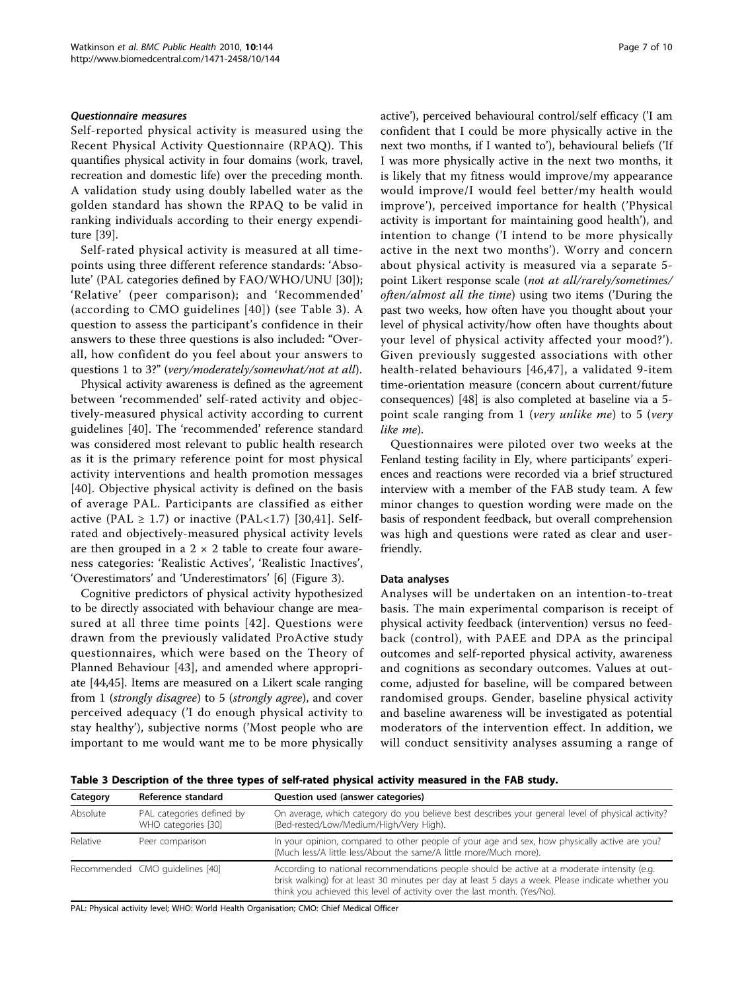## Questionnaire measures

Self-reported physical activity is measured using the Recent Physical Activity Questionnaire (RPAQ). This quantifies physical activity in four domains (work, travel, recreation and domestic life) over the preceding month. A validation study using doubly labelled water as the golden standard has shown the RPAQ to be valid in ranking individuals according to their energy expenditure [[39](#page-9-0)].

Self-rated physical activity is measured at all timepoints using three different reference standards: 'Absolute' (PAL categories defined by FAO/WHO/UNU [[30\]](#page-9-0)); 'Relative' (peer comparison); and 'Recommended' (according to CMO guidelines [[40\]](#page-9-0)) (see Table 3). A question to assess the participant's confidence in their answers to these three questions is also included: "Overall, how confident do you feel about your answers to questions 1 to 3?" (very/moderately/somewhat/not at all).

Physical activity awareness is defined as the agreement between 'recommended' self-rated activity and objectively-measured physical activity according to current guidelines [[40\]](#page-9-0). The 'recommended' reference standard was considered most relevant to public health research as it is the primary reference point for most physical activity interventions and health promotion messages [[40](#page-9-0)]. Objective physical activity is defined on the basis of average PAL. Participants are classified as either active (PAL  $\geq$  1.7) or inactive (PAL<1.7) [[30](#page-9-0),[41\]](#page-9-0). Selfrated and objectively-measured physical activity levels are then grouped in a  $2 \times 2$  table to create four awareness categories: 'Realistic Actives', 'Realistic Inactives', 'Overestimators' and 'Underestimators' [\[6](#page-8-0)] (Figure [3](#page-7-0)).

Cognitive predictors of physical activity hypothesized to be directly associated with behaviour change are measured at all three time points [[42](#page-9-0)]. Questions were drawn from the previously validated ProActive study questionnaires, which were based on the Theory of Planned Behaviour [[43\]](#page-9-0), and amended where appropriate [[44,45\]](#page-9-0). Items are measured on a Likert scale ranging from 1 (strongly disagree) to 5 (strongly agree), and cover perceived adequacy ('I do enough physical activity to stay healthy'), subjective norms ('Most people who are important to me would want me to be more physically

active'), perceived behavioural control/self efficacy ('I am confident that I could be more physically active in the next two months, if I wanted to'), behavioural beliefs ('If I was more physically active in the next two months, it is likely that my fitness would improve/my appearance would improve/I would feel better/my health would improve'), perceived importance for health ('Physical activity is important for maintaining good health'), and intention to change ('I intend to be more physically active in the next two months'). Worry and concern about physical activity is measured via a separate 5 point Likert response scale (not at all/rarely/sometimes/ often/almost all the time) using two items ('During the past two weeks, how often have you thought about your level of physical activity/how often have thoughts about your level of physical activity affected your mood?'). Given previously suggested associations with other health-related behaviours [[46,47\]](#page-9-0), a validated 9-item time-orientation measure (concern about current/future consequences) [\[48\]](#page-9-0) is also completed at baseline via a 5 point scale ranging from 1 (very unlike me) to 5 (very like me).

Questionnaires were piloted over two weeks at the Fenland testing facility in Ely, where participants' experiences and reactions were recorded via a brief structured interview with a member of the FAB study team. A few minor changes to question wording were made on the basis of respondent feedback, but overall comprehension was high and questions were rated as clear and userfriendly.

## Data analyses

Analyses will be undertaken on an intention-to-treat basis. The main experimental comparison is receipt of physical activity feedback (intervention) versus no feedback (control), with PAEE and DPA as the principal outcomes and self-reported physical activity, awareness and cognitions as secondary outcomes. Values at outcome, adjusted for baseline, will be compared between randomised groups. Gender, baseline physical activity and baseline awareness will be investigated as potential moderators of the intervention effect. In addition, we will conduct sensitivity analyses assuming a range of

Table 3 Description of the three types of self-rated physical activity measured in the FAB study.

| Category | Reference standard                               | Question used (answer categories)                                                                                                                                                                                                                                             |
|----------|--------------------------------------------------|-------------------------------------------------------------------------------------------------------------------------------------------------------------------------------------------------------------------------------------------------------------------------------|
| Absolute | PAL categories defined by<br>WHO categories [30] | On average, which category do you believe best describes your general level of physical activity?<br>(Bed-rested/Low/Medium/High/Very High).                                                                                                                                  |
| Relative | Peer comparison                                  | In your opinion, compared to other people of your age and sex, how physically active are you?<br>(Much less/A little less/About the same/A little more/Much more).                                                                                                            |
|          | Recommended CMO guidelines [40]                  | According to national recommendations people should be active at a moderate intensity (e.g.<br>brisk walking) for at least 30 minutes per day at least 5 days a week. Please indicate whether you<br>think you achieved this level of activity over the last month. (Yes/No). |

PAL: Physical activity level; WHO: World Health Organisation; CMO: Chief Medical Officer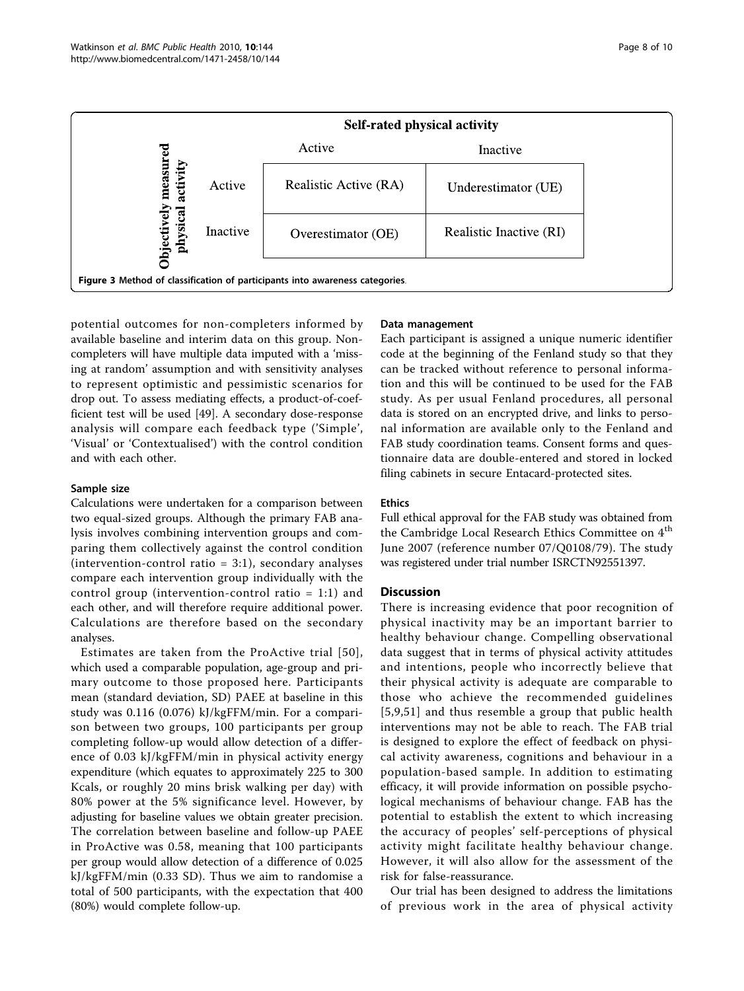<span id="page-7-0"></span>

potential outcomes for non-completers informed by available baseline and interim data on this group. Noncompleters will have multiple data imputed with a 'missing at random' assumption and with sensitivity analyses to represent optimistic and pessimistic scenarios for drop out. To assess mediating effects, a product-of-coefficient test will be used [\[49](#page-9-0)]. A secondary dose-response analysis will compare each feedback type ('Simple', 'Visual' or 'Contextualised') with the control condition and with each other.

## Sample size

Calculations were undertaken for a comparison between two equal-sized groups. Although the primary FAB analysis involves combining intervention groups and comparing them collectively against the control condition (intervention-control ratio = 3:1), secondary analyses compare each intervention group individually with the control group (intervention-control ratio = 1:1) and each other, and will therefore require additional power. Calculations are therefore based on the secondary analyses.

Estimates are taken from the ProActive trial [[50\]](#page-9-0), which used a comparable population, age-group and primary outcome to those proposed here. Participants mean (standard deviation, SD) PAEE at baseline in this study was 0.116 (0.076) kJ/kgFFM/min. For a comparison between two groups, 100 participants per group completing follow-up would allow detection of a difference of 0.03 kJ/kgFFM/min in physical activity energy expenditure (which equates to approximately 225 to 300 Kcals, or roughly 20 mins brisk walking per day) with 80% power at the 5% significance level. However, by adjusting for baseline values we obtain greater precision. The correlation between baseline and follow-up PAEE in ProActive was 0.58, meaning that 100 participants per group would allow detection of a difference of 0.025 kJ/kgFFM/min (0.33 SD). Thus we aim to randomise a total of 500 participants, with the expectation that 400 (80%) would complete follow-up.

## Data management

Each participant is assigned a unique numeric identifier code at the beginning of the Fenland study so that they can be tracked without reference to personal information and this will be continued to be used for the FAB study. As per usual Fenland procedures, all personal data is stored on an encrypted drive, and links to personal information are available only to the Fenland and FAB study coordination teams. Consent forms and questionnaire data are double-entered and stored in locked filing cabinets in secure Entacard-protected sites.

## Ethics

Full ethical approval for the FAB study was obtained from the Cambridge Local Research Ethics Committee on 4<sup>th</sup> June 2007 (reference number 07/Q0108/79). The study was registered under trial number ISRCTN92551397.

## **Discussion**

There is increasing evidence that poor recognition of physical inactivity may be an important barrier to healthy behaviour change. Compelling observational data suggest that in terms of physical activity attitudes and intentions, people who incorrectly believe that their physical activity is adequate are comparable to those who achieve the recommended guidelines [[5](#page-8-0),[9,](#page-8-0)[51\]](#page-9-0) and thus resemble a group that public health interventions may not be able to reach. The FAB trial is designed to explore the effect of feedback on physical activity awareness, cognitions and behaviour in a population-based sample. In addition to estimating efficacy, it will provide information on possible psychological mechanisms of behaviour change. FAB has the potential to establish the extent to which increasing the accuracy of peoples' self-perceptions of physical activity might facilitate healthy behaviour change. However, it will also allow for the assessment of the risk for false-reassurance.

Our trial has been designed to address the limitations of previous work in the area of physical activity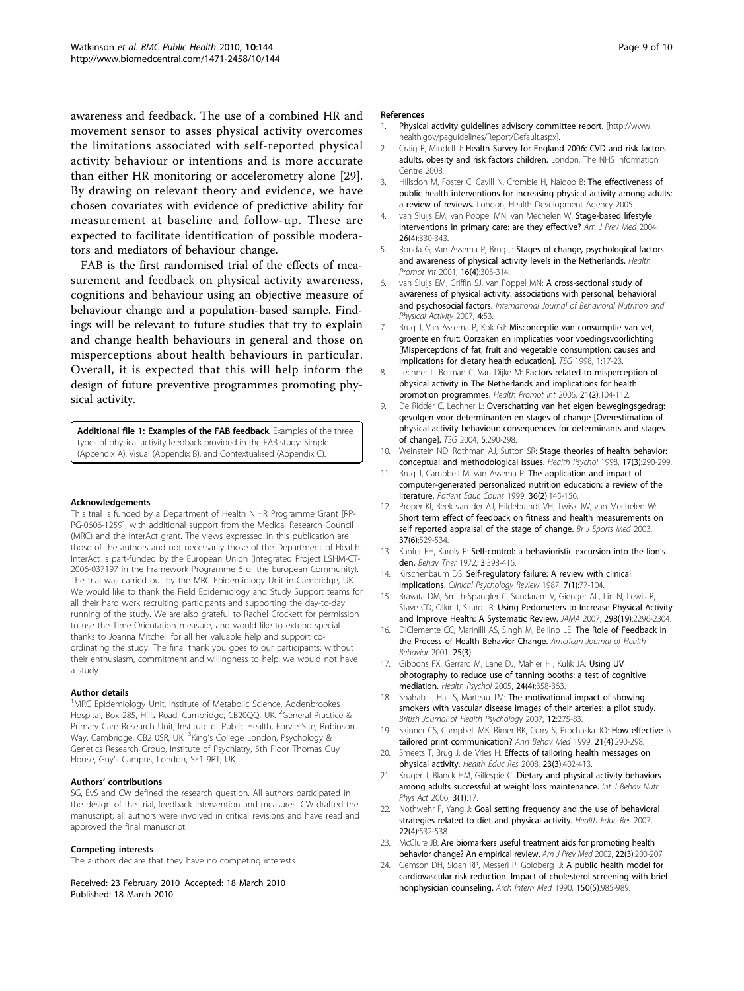<span id="page-8-0"></span>awareness and feedback. The use of a combined HR and movement sensor to asses physical activity overcomes the limitations associated with self-reported physical activity behaviour or intentions and is more accurate than either HR monitoring or accelerometry alone [\[29](#page-9-0)]. By drawing on relevant theory and evidence, we have chosen covariates with evidence of predictive ability for measurement at baseline and follow-up. These are expected to facilitate identification of possible moderators and mediators of behaviour change.

FAB is the first randomised trial of the effects of measurement and feedback on physical activity awareness, cognitions and behaviour using an objective measure of behaviour change and a population-based sample. Findings will be relevant to future studies that try to explain and change health behaviours in general and those on misperceptions about health behaviours in particular. Overall, it is expected that this will help inform the design of future preventive programmes promoting physical activity.

[Additional file 1: E](http://www.biomedcentral.com/content/supplementary/1471-2458-10-144-S1.DOC)xamples of the FAB feedback. Examples of the three types of physical activity feedback provided in the FAB study: Simple (Appendix A), Visual (Appendix B), and Contextualised (Appendix C).

#### Acknowledgements

This trial is funded by a Department of Health NIHR Programme Grant [RP-PG-0606-1259], with additional support from the Medical Research Council (MRC) and the InterAct grant. The views expressed in this publication are those of the authors and not necessarily those of the Department of Health. InterAct is part-funded by the European Union (Integrated Project LSHM-CT-2006-037197 in the Framework Programme 6 of the European Community). The trial was carried out by the MRC Epidemiology Unit in Cambridge, UK. We would like to thank the Field Epidemiology and Study Support teams for all their hard work recruiting participants and supporting the day-to-day running of the study. We are also grateful to Rachel Crockett for permission to use the Time Orientation measure, and would like to extend special thanks to Joanna Mitchell for all her valuable help and support coordinating the study. The final thank you goes to our participants: without their enthusiasm, commitment and willingness to help, we would not have a study.

#### Author details

<sup>1</sup>MRC Epidemiology Unit, Institute of Metabolic Science, Addenbrookes Hospital, Box 285, Hills Road, Cambridge, CB20QQ, UK. <sup>2</sup>General Practice & Primary Care Research Unit, Institute of Public Health, Forvie Site, Robinson Way, Cambridge, CB2 0SR, UK. <sup>3</sup>King's College London, Psychology & Genetics Research Group, Institute of Psychiatry, 5th Floor Thomas Guy House, Guy's Campus, London, SE1 9RT, UK.

#### Authors' contributions

SG, EvS and CW defined the research question. All authors participated in the design of the trial, feedback intervention and measures. CW drafted the manuscript; all authors were involved in critical revisions and have read and approved the final manuscript.

#### Competing interests

The authors declare that they have no competing interests.

Received: 23 February 2010 Accepted: 18 March 2010 Published: 18 March 2010

#### References

- 1. Physical activity guidelines advisory committee report. [\[http://www.](http://www.health.gov/paguidelines/Report/Default.aspx) [health.gov/paguidelines/Report/Default.aspx\]](http://www.health.gov/paguidelines/Report/Default.aspx).
- 2. Craig R, Mindell J: Health Survey for England 2006: CVD and risk factors adults, obesity and risk factors children. London, The NHS Information Centre 2008.
- 3. Hillsdon M, Foster C, Cavill N, Crombie H, Naidoo B: The effectiveness of public health interventions for increasing physical activity among adults: a review of reviews. London, Health Development Agency 2005.
- 4. van Sluijs EM, van Poppel MN, van Mechelen W: [Stage-based lifestyle](http://www.ncbi.nlm.nih.gov/pubmed/15110061?dopt=Abstract) [interventions in primary care: are they effective?](http://www.ncbi.nlm.nih.gov/pubmed/15110061?dopt=Abstract) Am J Prev Med 2004, 26(4):330-343.
- 5. Ronda G, Van Assema P, Brug J: [Stages of change, psychological factors](http://www.ncbi.nlm.nih.gov/pubmed/11733449?dopt=Abstract) [and awareness of physical activity levels in the Netherlands.](http://www.ncbi.nlm.nih.gov/pubmed/11733449?dopt=Abstract) Health Promot Int 2001, 16(4):305-314.
- van Sluijs EM, Griffin SJ, van Poppel MN: [A cross-sectional study of](http://www.ncbi.nlm.nih.gov/pubmed/17996060?dopt=Abstract) [awareness of physical activity: associations with personal, behavioral](http://www.ncbi.nlm.nih.gov/pubmed/17996060?dopt=Abstract) [and psychosocial factors.](http://www.ncbi.nlm.nih.gov/pubmed/17996060?dopt=Abstract) International Journal of Behavioral Nutrition and Physical Activity 2007, 4:53.
- 7. Brug J, Van Assema P, Kok GJ: Misconceptie van consumptie van vet, groente en fruit: Oorzaken en implicaties voor voedingsvoorlichting [Misperceptions of fat, fruit and vegetable consumption: causes and implications for dietary health education]. TSG 1998, 1:17-23.
- 8. Lechner L, Bolman C, Van Dijke M: [Factors related to misperception of](http://www.ncbi.nlm.nih.gov/pubmed/16641132?dopt=Abstract) [physical activity in The Netherlands and implications for health](http://www.ncbi.nlm.nih.gov/pubmed/16641132?dopt=Abstract) [promotion programmes.](http://www.ncbi.nlm.nih.gov/pubmed/16641132?dopt=Abstract) Health Promot Int 2006, 21(2):104-112.
- 9. De Ridder C, Lechner L: Overschatting van het eigen bewegingsgedrag: gevolgen voor determinanten en stages of change [Overestimation of physical activity behaviour: consequences for determinants and stages of change]. TSG 2004, 5:290-298.
- 10. Weinstein ND, Rothman AJ, Sutton SR: [Stage theories of health behavior:](http://www.ncbi.nlm.nih.gov/pubmed/9619480?dopt=Abstract) [conceptual and methodological issues.](http://www.ncbi.nlm.nih.gov/pubmed/9619480?dopt=Abstract) Health Psychol 1998, 17(3):290-299.
- 11. Brug J, Campbell M, van Assema P: [The application and impact of](http://www.ncbi.nlm.nih.gov/pubmed/10223019?dopt=Abstract) [computer-generated personalized nutrition education: a review of the](http://www.ncbi.nlm.nih.gov/pubmed/10223019?dopt=Abstract) [literature.](http://www.ncbi.nlm.nih.gov/pubmed/10223019?dopt=Abstract) Patient Educ Couns 1999, 36(2):145-156.
- 12. Proper KI, Beek van der AJ, Hildebrandt VH, Twisk JW, van Mechelen W: [Short term effect of feedback on fitness and health measurements on](http://www.ncbi.nlm.nih.gov/pubmed/14665593?dopt=Abstract) [self reported appraisal of the stage of change.](http://www.ncbi.nlm.nih.gov/pubmed/14665593?dopt=Abstract) Br J Sports Med 2003, 37(6):529-534.
- 13. Kanfer FH, Karoly P: Self-control: a behavioristic excursion into the lion's den. Behav Ther 1972, **3**:398-416.
- Kirschenbaum DS: Self-regulatory failure: A review with clinical implications. Clinical Psychology Review 1987, 7(1):77-104.
- 15. Bravata DM, Smith-Spangler C, Sundaram V, Gienger AL, Lin N, Lewis R, Stave CD, Olkin I, Sirard JR: [Using Pedometers to Increase Physical Activity](http://www.ncbi.nlm.nih.gov/pubmed/18029834?dopt=Abstract) [and Improve Health: A Systematic Review.](http://www.ncbi.nlm.nih.gov/pubmed/18029834?dopt=Abstract) JAMA 2007, 298(19):2296-2304.
- 16. DiClemente CC, Marinilli AS, Singh M, Bellino LE: [The Role of Feedback in](http://www.ncbi.nlm.nih.gov/pubmed/11322620?dopt=Abstract) [the Process of Health Behavior Change.](http://www.ncbi.nlm.nih.gov/pubmed/11322620?dopt=Abstract) American Journal of Health Behavior 2001, 25(3).
- 17. Gibbons FX, Gerrard M, Lane DJ, Mahler HI, Kulik JA: [Using UV](http://www.ncbi.nlm.nih.gov/pubmed/16045371?dopt=Abstract) [photography to reduce use of tanning booths: a test of cognitive](http://www.ncbi.nlm.nih.gov/pubmed/16045371?dopt=Abstract) [mediation.](http://www.ncbi.nlm.nih.gov/pubmed/16045371?dopt=Abstract) Health Psychol 2005, 24(4):358-363.
- 18. Shahab L, Hall S, Marteau TM: [The motivational impact of showing](http://www.ncbi.nlm.nih.gov/pubmed/17456286?dopt=Abstract) [smokers with vascular disease images of their arteries: a pilot study.](http://www.ncbi.nlm.nih.gov/pubmed/17456286?dopt=Abstract) British Journal of Health Psychology 2007, 12:275-83.
- 19. Skinner CS, Campbell MK, Rimer BK, Curry S, Prochaska JO: [How effective is](http://www.ncbi.nlm.nih.gov/pubmed/10721435?dopt=Abstract) [tailored print communication?](http://www.ncbi.nlm.nih.gov/pubmed/10721435?dopt=Abstract) Ann Behav Med 1999, 21(4):290-298.
- 20. Smeets T, Brug J, de Vries H: [Effects of tailoring health messages on](http://www.ncbi.nlm.nih.gov/pubmed/17032705?dopt=Abstract) [physical activity.](http://www.ncbi.nlm.nih.gov/pubmed/17032705?dopt=Abstract) Health Educ Res 2008, 23(3):402-413.
- 21. Kruger J, Blanck HM, Gillespie C: [Dietary and physical activity behaviors](http://www.ncbi.nlm.nih.gov/pubmed/16854220?dopt=Abstract) [among adults successful at weight loss maintenance.](http://www.ncbi.nlm.nih.gov/pubmed/16854220?dopt=Abstract) Int J Behav Nutr Phys Act 2006, 3(1):17.
- 22. Nothwehr F, Yang J: [Goal setting frequency and the use of behavioral](http://www.ncbi.nlm.nih.gov/pubmed/17032703?dopt=Abstract) [strategies related to diet and physical activity.](http://www.ncbi.nlm.nih.gov/pubmed/17032703?dopt=Abstract) Health Educ Res 2007, 22(4):532-538.
- 23. McClure JB: [Are biomarkers useful treatment aids for promoting health](http://www.ncbi.nlm.nih.gov/pubmed/11897465?dopt=Abstract) [behavior change? An empirical review.](http://www.ncbi.nlm.nih.gov/pubmed/11897465?dopt=Abstract) Am J Prev Med 2002, 22(3):200-207.
- 24. Gemson DH, Sloan RP, Messeri P, Goldberg IJ: [A public health model for](http://www.ncbi.nlm.nih.gov/pubmed/2331203?dopt=Abstract) [cardiovascular risk reduction. Impact of cholesterol screening with brief](http://www.ncbi.nlm.nih.gov/pubmed/2331203?dopt=Abstract) [nonphysician counseling.](http://www.ncbi.nlm.nih.gov/pubmed/2331203?dopt=Abstract) Arch Intern Med 1990, 150(5):985-989.